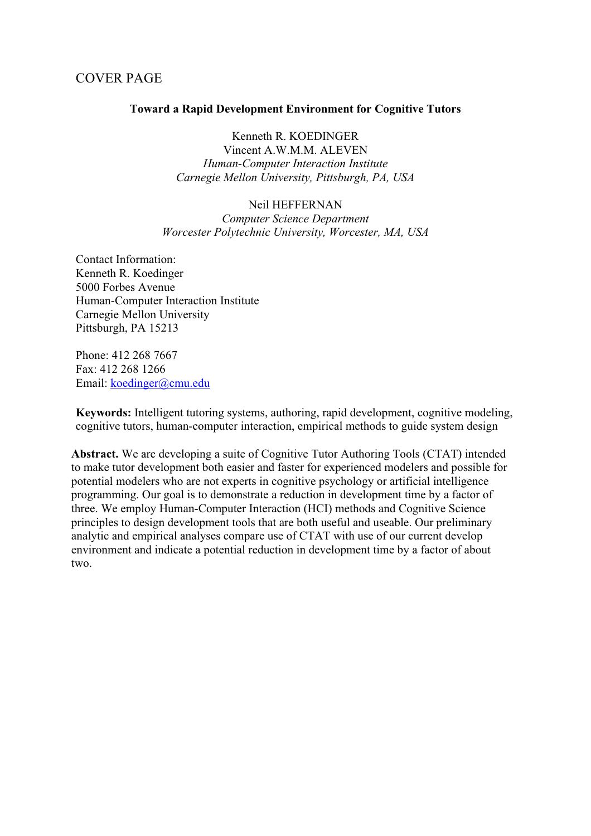## COVER PAGE

### **Toward a Rapid Development Environment for Cognitive Tutors**

Kenneth R. KOEDINGER

Vincent A.W.M.M. ALEVEN *Human-Computer Interaction Institute Carnegie Mellon University, Pittsburgh, PA, USA*

#### Neil HEFFERNAN

*Computer Science Department Worcester Polytechnic University, Worcester, MA, USA*

Contact Information: Kenneth R. Koedinger 5000 Forbes Avenue Human-Computer Interaction Institute Carnegie Mellon University Pittsburgh, PA 15213

Phone: 412 268 7667 Fax: 412 268 1266 Email: koedinger@cmu.edu

**Keywords:** Intelligent tutoring systems, authoring, rapid development, cognitive modeling, cognitive tutors, human-computer interaction, empirical methods to guide system design

**Abstract.** We are developing a suite of Cognitive Tutor Authoring Tools (CTAT) intended to make tutor development both easier and faster for experienced modelers and possible for potential modelers who are not experts in cognitive psychology or artificial intelligence programming. Our goal is to demonstrate a reduction in development time by a factor of three. We employ Human-Computer Interaction (HCI) methods and Cognitive Science principles to design development tools that are both useful and useable. Our preliminary analytic and empirical analyses compare use of CTAT with use of our current develop environment and indicate a potential reduction in development time by a factor of about two.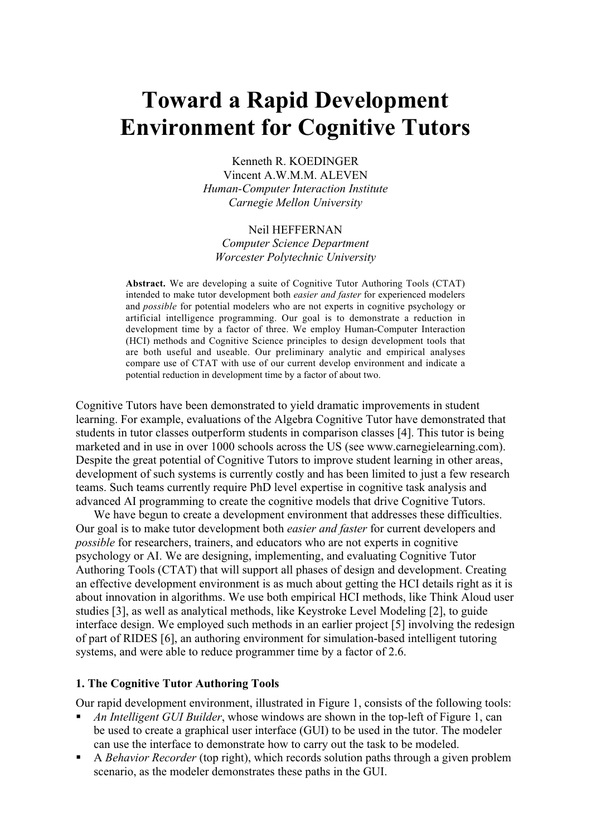# **Toward a Rapid Development Environment for Cognitive Tutors**

Kenneth R. KOEDINGER Vincent A.W.M.M. ALEVEN *Human-Computer Interaction Institute Carnegie Mellon University*

## Neil HEFFERNAN *Computer Science Department*

*Worcester Polytechnic University*

**Abstract.** We are developing a suite of Cognitive Tutor Authoring Tools (CTAT) intended to make tutor development both *easier and faster* for experienced modelers and *possible* for potential modelers who are not experts in cognitive psychology or artificial intelligence programming. Our goal is to demonstrate a reduction in development time by a factor of three. We employ Human-Computer Interaction (HCI) methods and Cognitive Science principles to design development tools that are both useful and useable. Our preliminary analytic and empirical analyses compare use of CTAT with use of our current develop environment and indicate a potential reduction in development time by a factor of about two.

Cognitive Tutors have been demonstrated to yield dramatic improvements in student learning. For example, evaluations of the Algebra Cognitive Tutor have demonstrated that students in tutor classes outperform students in comparison classes [4]. This tutor is being marketed and in use in over 1000 schools across the US (see www.carnegielearning.com). Despite the great potential of Cognitive Tutors to improve student learning in other areas, development of such systems is currently costly and has been limited to just a few research teams. Such teams currently require PhD level expertise in cognitive task analysis and advanced AI programming to create the cognitive models that drive Cognitive Tutors.

We have begun to create a development environment that addresses these difficulties. Our goal is to make tutor development both *easier and faster* for current developers and *possible* for researchers, trainers, and educators who are not experts in cognitive psychology or AI. We are designing, implementing, and evaluating Cognitive Tutor Authoring Tools (CTAT) that will support all phases of design and development. Creating an effective development environment is as much about getting the HCI details right as it is about innovation in algorithms. We use both empirical HCI methods, like Think Aloud user studies [3], as well as analytical methods, like Keystroke Level Modeling [2], to guide interface design. We employed such methods in an earlier project [5] involving the redesign of part of RIDES [6], an authoring environment for simulation-based intelligent tutoring systems, and were able to reduce programmer time by a factor of 2.6.

#### **1. The Cognitive Tutor Authoring Tools**

Our rapid development environment, illustrated in Figure 1, consists of the following tools:

- *An Intelligent GUI Builder*, whose windows are shown in the top-left of Figure 1, can be used to create a graphical user interface (GUI) to be used in the tutor. The modeler can use the interface to demonstrate how to carry out the task to be modeled.
- A *Behavior Recorder* (top right), which records solution paths through a given problem scenario, as the modeler demonstrates these paths in the GUI.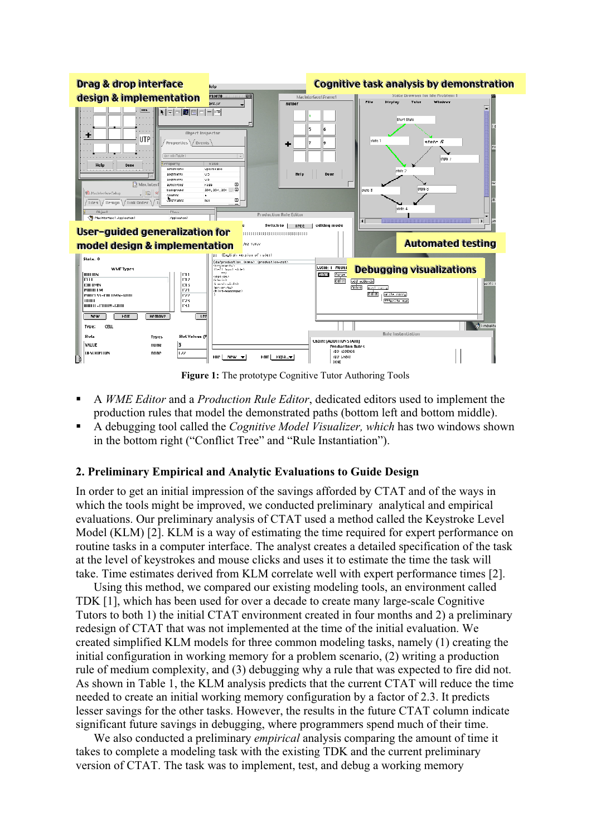

**Figure 1:** The prototype Cognitive Tutor Authoring Tools

- A *WME Editor* and a *Production Rule Editor*, dedicated editors used to implement the production rules that model the demonstrated paths (bottom left and bottom middle).
- A debugging tool called the *Cognitive Model Visualizer, which* has two windows shown in the bottom right ("Conflict Tree" and "Rule Instantiation").

## **2. Preliminary Empirical and Analytic Evaluations to Guide Design**

In order to get an initial impression of the savings afforded by CTAT and of the ways in which the tools might be improved, we conducted preliminary analytical and empirical evaluations. Our preliminary analysis of CTAT used a method called the Keystroke Level Model (KLM) [2]. KLM is a way of estimating the time required for expert performance on routine tasks in a computer interface. The analyst creates a detailed specification of the task at the level of keystrokes and mouse clicks and uses it to estimate the time the task will take. Time estimates derived from KLM correlate well with expert performance times [2].

Using this method, we compared our existing modeling tools, an environment called TDK [1], which has been used for over a decade to create many large-scale Cognitive Tutors to both 1) the initial CTAT environment created in four months and 2) a preliminary redesign of CTAT that was not implemented at the time of the initial evaluation. We created simplified KLM models for three common modeling tasks, namely (1) creating the initial configuration in working memory for a problem scenario, (2) writing a production rule of medium complexity, and (3) debugging why a rule that was expected to fire did not. As shown in Table 1, the KLM analysis predicts that the current CTAT will reduce the time needed to create an initial working memory configuration by a factor of 2.3. It predicts lesser savings for the other tasks. However, the results in the future CTAT column indicate significant future savings in debugging, where programmers spend much of their time.

We also conducted a preliminary *empirical* analysis comparing the amount of time it takes to complete a modeling task with the existing TDK and the current preliminary version of CTAT. The task was to implement, test, and debug a working memory